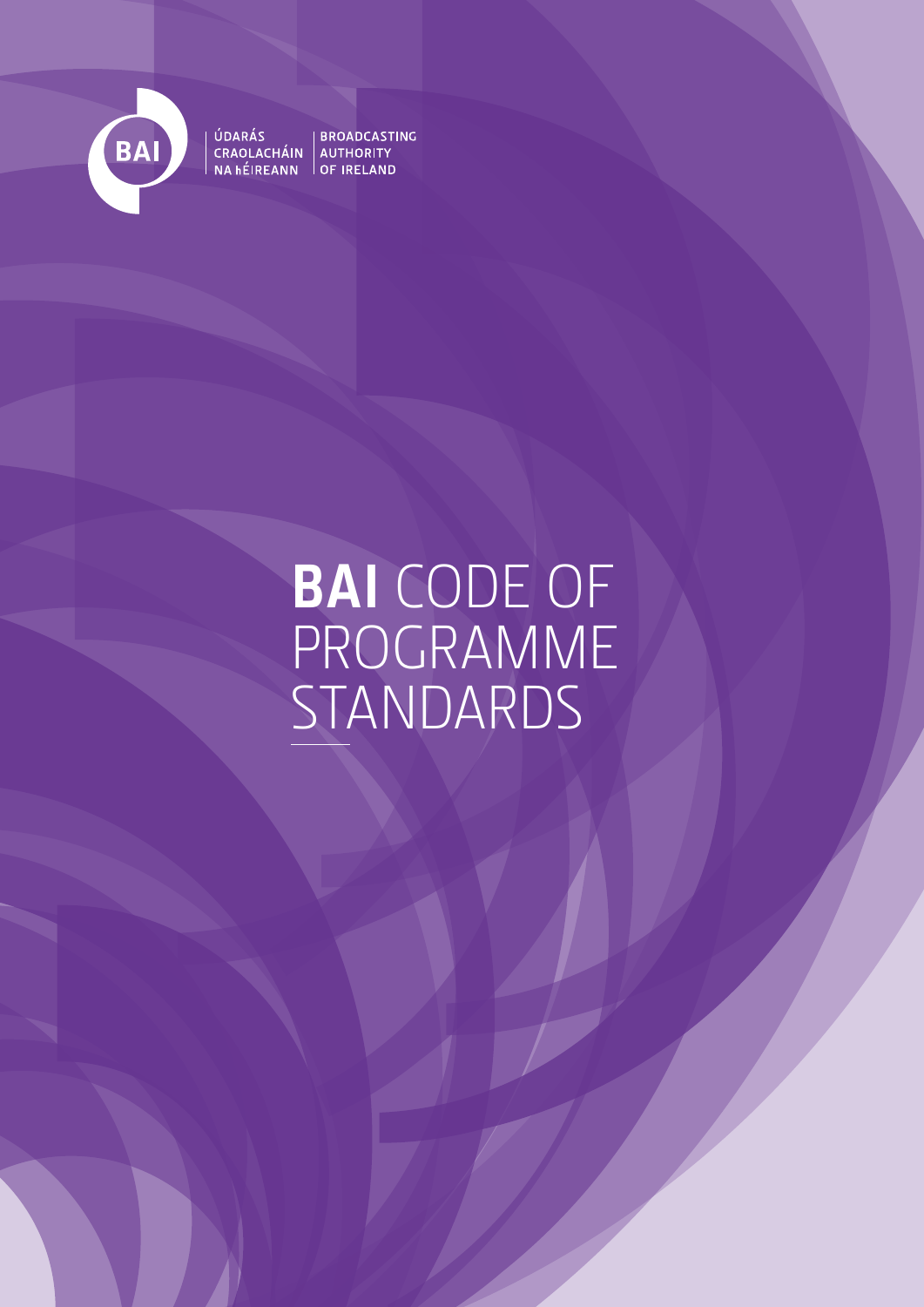

# ÚDARÁS<br>CRAOLACHÁIN AUTHORITY<br>NA hÉIREANN OF IRELAND

# **BAI** CODE OF PROGRAMME STANDARDS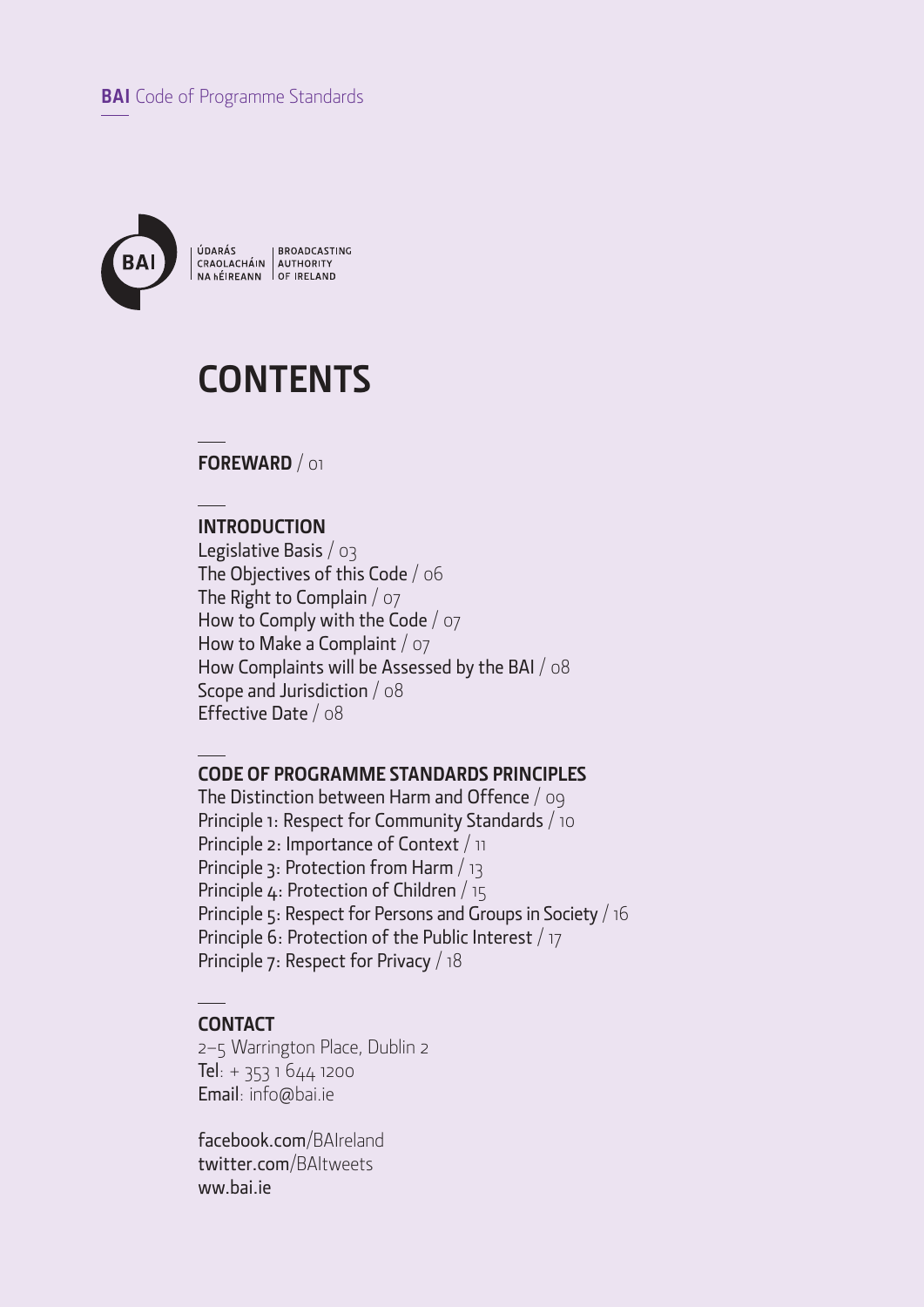

ÚDARÁS BROADCASTING<br>CRAOLACHÁIN AUTHORITY<br>NA hÉIREANN OF IRELAND

## **CONTENTS**

**FOREWARD** / 01

### **INTRODUCTION**

Legislative Basis / 03 The Objectives of this Code / 06 The Right to Complain / 07 How to Comply with the Code / 07 How to Make a Complaint  $\sqrt{27}$ How Complaints will be Assessed by the BAI / 08 Scope and Jurisdiction / 08 Effective Date / 08

#### **CODE OF PROGRAMME STANDARDS PRINCIPLES**

The Distinction between Harm and Offence / 09 Principle 1: Respect for Community Standards / 10 Principle 2: Importance of Context / 11 Principle 3: Protection from Harm / 13 Principle 4: Protection of Children / 15 Principle 5: Respect for Persons and Groups in Society / 16 Principle 6: Protection of the Public Interest / 17 Principle 7: Respect for Privacy / 18

#### **CONTACT**

2–5 Warrington Place, Dublin 2 Tel: + 353 1 644 1200 Email: info@bai.ie

facebook.com/BAIreland twitter.com/BAItweets ww.bai.ie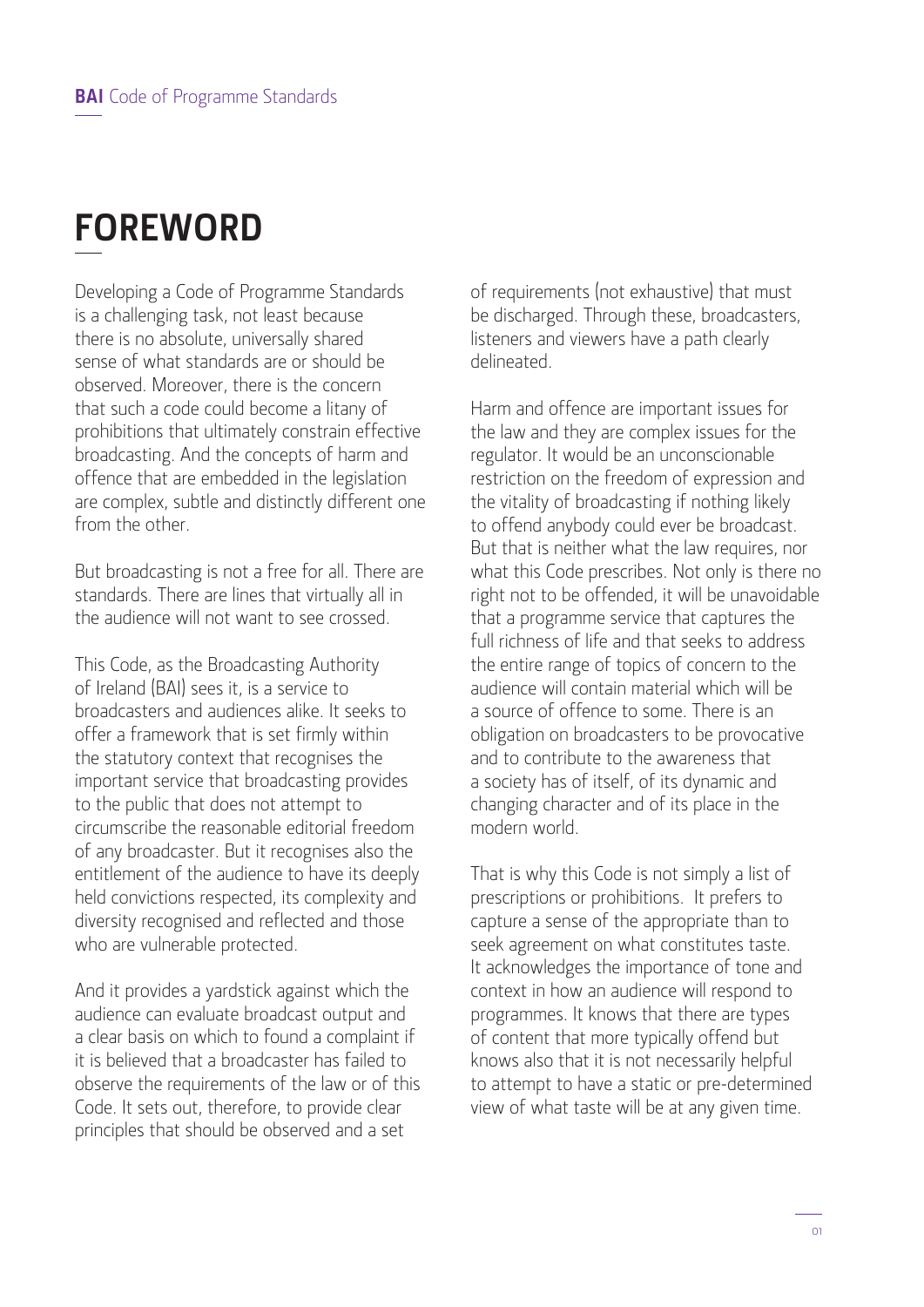## **FOREWORD**

Developing a Code of Programme Standards is a challenging task, not least because there is no absolute, universally shared sense of what standards are or should be observed. Moreover, there is the concern that such a code could become a litany of prohibitions that ultimately constrain effective broadcasting. And the concepts of harm and offence that are embedded in the legislation are complex, subtle and distinctly different one from the other.

But broadcasting is not a free for all. There are standards. There are lines that virtually all in the audience will not want to see crossed.

This Code, as the Broadcasting Authority of Ireland (BAI) sees it, is a service to broadcasters and audiences alike. It seeks to offer a framework that is set firmly within the statutory context that recognises the important service that broadcasting provides to the public that does not attempt to circumscribe the reasonable editorial freedom of any broadcaster. But it recognises also the entitlement of the audience to have its deeply held convictions respected, its complexity and diversity recognised and reflected and those who are vulnerable protected.

And it provides a yardstick against which the audience can evaluate broadcast output and a clear basis on which to found a complaint if it is believed that a broadcaster has failed to observe the requirements of the law or of this Code. It sets out, therefore, to provide clear principles that should be observed and a set

of requirements (not exhaustive) that must be discharged. Through these, broadcasters, listeners and viewers have a path clearly delineated.

Harm and offence are important issues for the law and they are complex issues for the regulator. It would be an unconscionable restriction on the freedom of expression and the vitality of broadcasting if nothing likely to offend anybody could ever be broadcast. But that is neither what the law requires, nor what this Code prescribes. Not only is there no right not to be offended, it will be unavoidable that a programme service that captures the full richness of life and that seeks to address the entire range of topics of concern to the audience will contain material which will be a source of offence to some. There is an obligation on broadcasters to be provocative and to contribute to the awareness that a society has of itself, of its dynamic and changing character and of its place in the modern world.

That is why this Code is not simply a list of prescriptions or prohibitions. It prefers to capture a sense of the appropriate than to seek agreement on what constitutes taste. It acknowledges the importance of tone and context in how an audience will respond to programmes. It knows that there are types of content that more typically offend but knows also that it is not necessarily helpful to attempt to have a static or pre-determined view of what taste will be at any given time.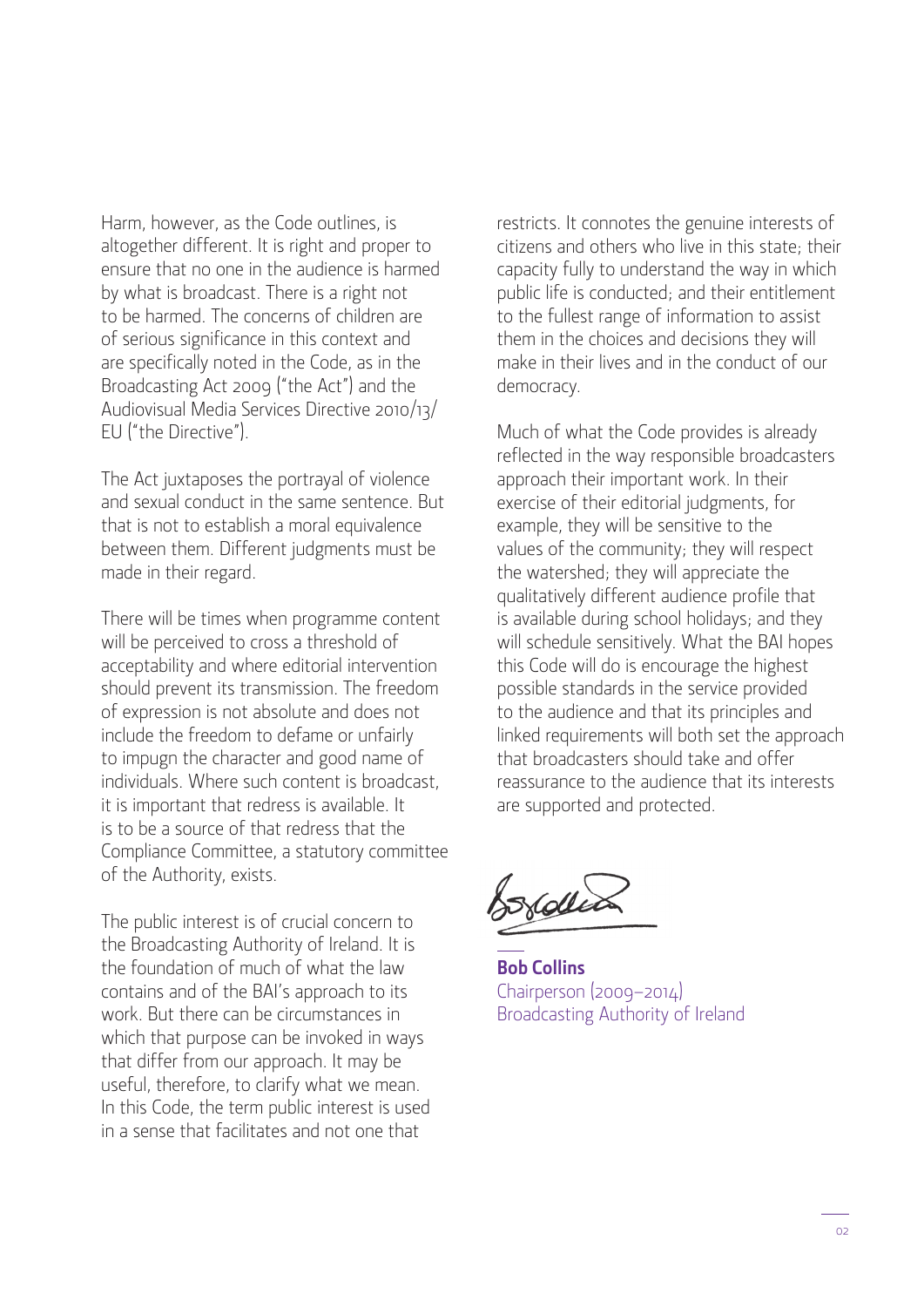Harm, however, as the Code outlines, is altogether different. It is right and proper to ensure that no one in the audience is harmed by what is broadcast. There is a right not to be harmed. The concerns of children are of serious significance in this context and are specifically noted in the Code, as in the Broadcasting Act 2009 ("the Act") and the Audiovisual Media Services Directive 2010/13/ EU ("the Directive").

The Act juxtaposes the portrayal of violence and sexual conduct in the same sentence. But that is not to establish a moral equivalence between them. Different judgments must be made in their regard.

There will be times when programme content will be perceived to cross a threshold of acceptability and where editorial intervention should prevent its transmission. The freedom of expression is not absolute and does not include the freedom to defame or unfairly to impugn the character and good name of individuals. Where such content is broadcast, it is important that redress is available. It is to be a source of that redress that the Compliance Committee, a statutory committee of the Authority, exists.

The public interest is of crucial concern to the Broadcasting Authority of Ireland. It is the foundation of much of what the law contains and of the BAI's approach to its work. But there can be circumstances in which that purpose can be invoked in ways that differ from our approach. It may be useful, therefore, to clarify what we mean. In this Code, the term public interest is used in a sense that facilitates and not one that

restricts. It connotes the genuine interests of citizens and others who live in this state; their capacity fully to understand the way in which public life is conducted; and their entitlement to the fullest range of information to assist them in the choices and decisions they will make in their lives and in the conduct of our democracy.

Much of what the Code provides is already reflected in the way responsible broadcasters approach their important work. In their exercise of their editorial judgments, for example, they will be sensitive to the values of the community; they will respect the watershed; they will appreciate the qualitatively different audience profile that is available during school holidays; and they will schedule sensitively. What the BAI hopes this Code will do is encourage the highest possible standards in the service provided to the audience and that its principles and linked requirements will both set the approach that broadcasters should take and offer reassurance to the audience that its interests are supported and protected.

Sorden

**Bob Collins** Chairperson (2009–2014) Broadcasting Authority of Ireland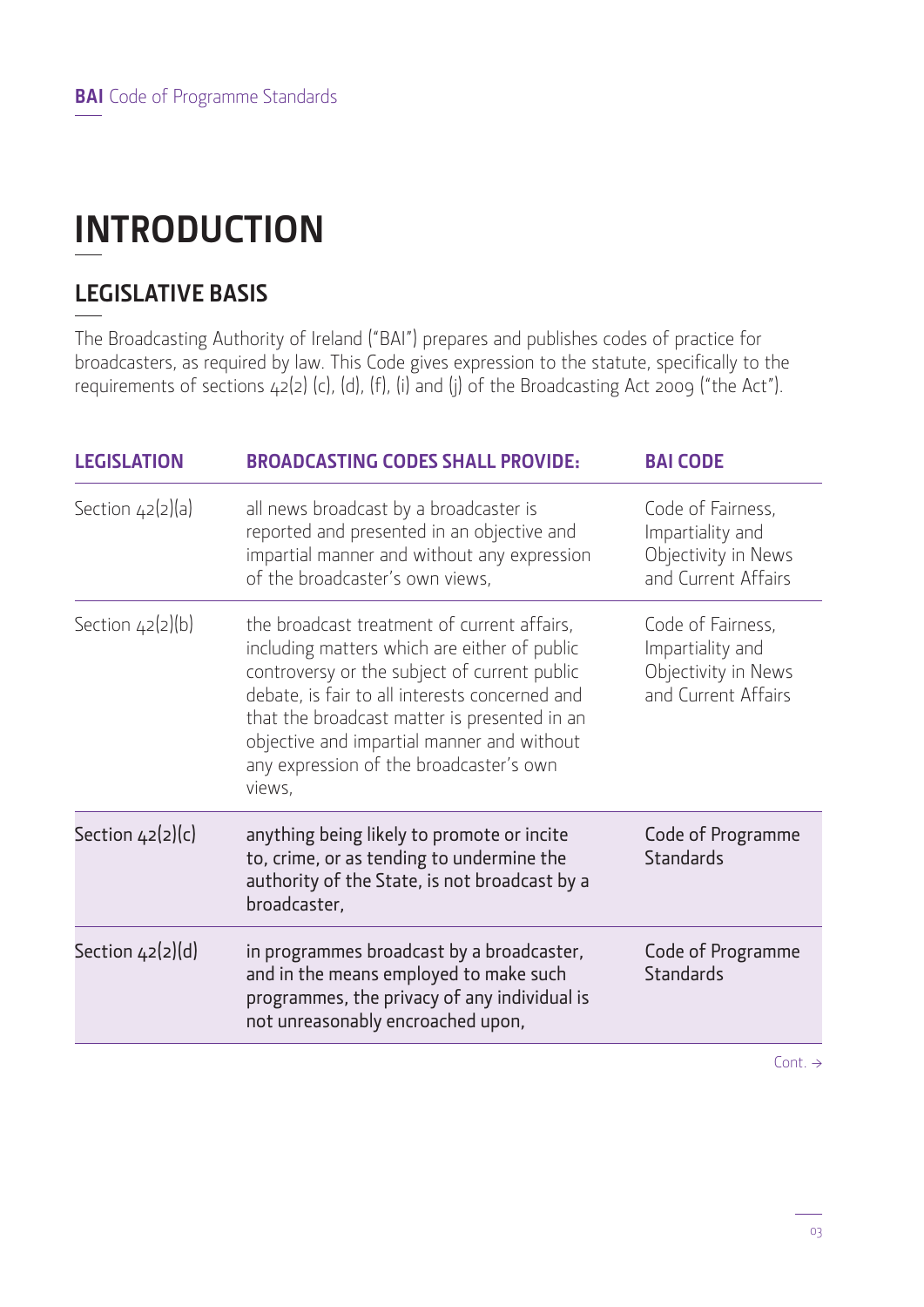## **INTRODUCTION**

## **LEGISLATIVE BASIS**

The Broadcasting Authority of Ireland ("BAI") prepares and publishes codes of practice for broadcasters, as required by law. This Code gives expression to the statute, specifically to the requirements of sections 42(2) (c), (d), (f), (i) and (j) of the Broadcasting Act 2009 ("the Act").

| <b>LEGISLATION</b> | <b>BROADCASTING CODES SHALL PROVIDE:</b>                                                                                                                                                                                                                                                                                                         | <b>BAI CODE</b>                                                                     |
|--------------------|--------------------------------------------------------------------------------------------------------------------------------------------------------------------------------------------------------------------------------------------------------------------------------------------------------------------------------------------------|-------------------------------------------------------------------------------------|
| Section $42(2)(a)$ | all news broadcast by a broadcaster is<br>reported and presented in an objective and<br>impartial manner and without any expression<br>of the broadcaster's own views,                                                                                                                                                                           | Code of Fairness,<br>Impartiality and<br>Objectivity in News<br>and Current Affairs |
| Section $42(2)(b)$ | the broadcast treatment of current affairs,<br>including matters which are either of public<br>controversy or the subject of current public<br>debate, is fair to all interests concerned and<br>that the broadcast matter is presented in an<br>objective and impartial manner and without<br>any expression of the broadcaster's own<br>views, | Code of Fairness,<br>Impartiality and<br>Objectivity in News<br>and Current Affairs |
| Section $42(2)(c)$ | anything being likely to promote or incite<br>to, crime, or as tending to undermine the<br>authority of the State, is not broadcast by a<br>broadcaster,                                                                                                                                                                                         | Code of Programme<br><b>Standards</b>                                               |
| Section $42(2)(d)$ | in programmes broadcast by a broadcaster,<br>and in the means employed to make such<br>programmes, the privacy of any individual is<br>not unreasonably encroached upon,                                                                                                                                                                         | Code of Programme<br><b>Standards</b>                                               |
|                    |                                                                                                                                                                                                                                                                                                                                                  |                                                                                     |

Cont.  $\rightarrow$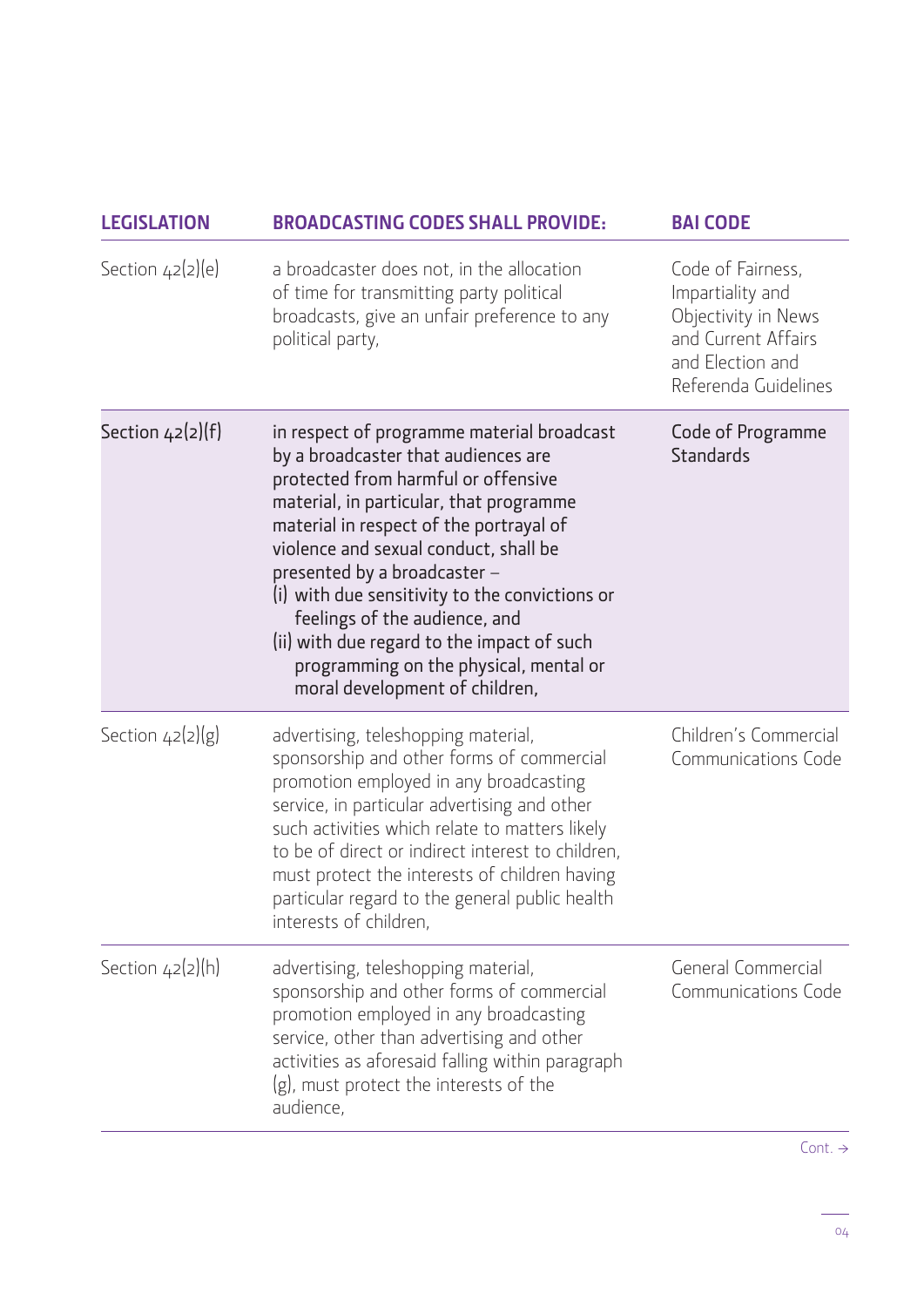| <b>LEGISLATION</b> | <b>BROADCASTING CODES SHALL PROVIDE:</b>                                                                                                                                                                                                                                                                                                                                                                                                                                                             | <b>BAI CODE</b>                                                                                                                 |
|--------------------|------------------------------------------------------------------------------------------------------------------------------------------------------------------------------------------------------------------------------------------------------------------------------------------------------------------------------------------------------------------------------------------------------------------------------------------------------------------------------------------------------|---------------------------------------------------------------------------------------------------------------------------------|
| Section $42(2)(e)$ | a broadcaster does not, in the allocation<br>of time for transmitting party political<br>broadcasts, give an unfair preference to any<br>political party,                                                                                                                                                                                                                                                                                                                                            | Code of Fairness,<br>Impartiality and<br>Objectivity in News<br>and Current Affairs<br>and Election and<br>Referenda Guidelines |
| Section $42(2)(f)$ | in respect of programme material broadcast<br>by a broadcaster that audiences are<br>protected from harmful or offensive<br>material, in particular, that programme<br>material in respect of the portrayal of<br>violence and sexual conduct, shall be<br>presented by a broadcaster -<br>(i) with due sensitivity to the convictions or<br>feelings of the audience, and<br>(ii) with due regard to the impact of such<br>programming on the physical, mental or<br>moral development of children, | Code of Programme<br><b>Standards</b>                                                                                           |
| Section $42(2)(g)$ | advertising, teleshopping material,<br>sponsorship and other forms of commercial<br>promotion employed in any broadcasting<br>service, in particular advertising and other<br>such activities which relate to matters likely<br>to be of direct or indirect interest to children,<br>must protect the interests of children having<br>particular regard to the general public health<br>interests of children,                                                                                       | Children's Commercial<br>Communications Code                                                                                    |
| Section $42(2)(h)$ | advertising, teleshopping material,<br>sponsorship and other forms of commercial<br>promotion employed in any broadcasting<br>service, other than advertising and other<br>activities as aforesaid falling within paragraph<br>(g), must protect the interests of the<br>audience,                                                                                                                                                                                                                   | General Commercial<br>Communications Code                                                                                       |

L.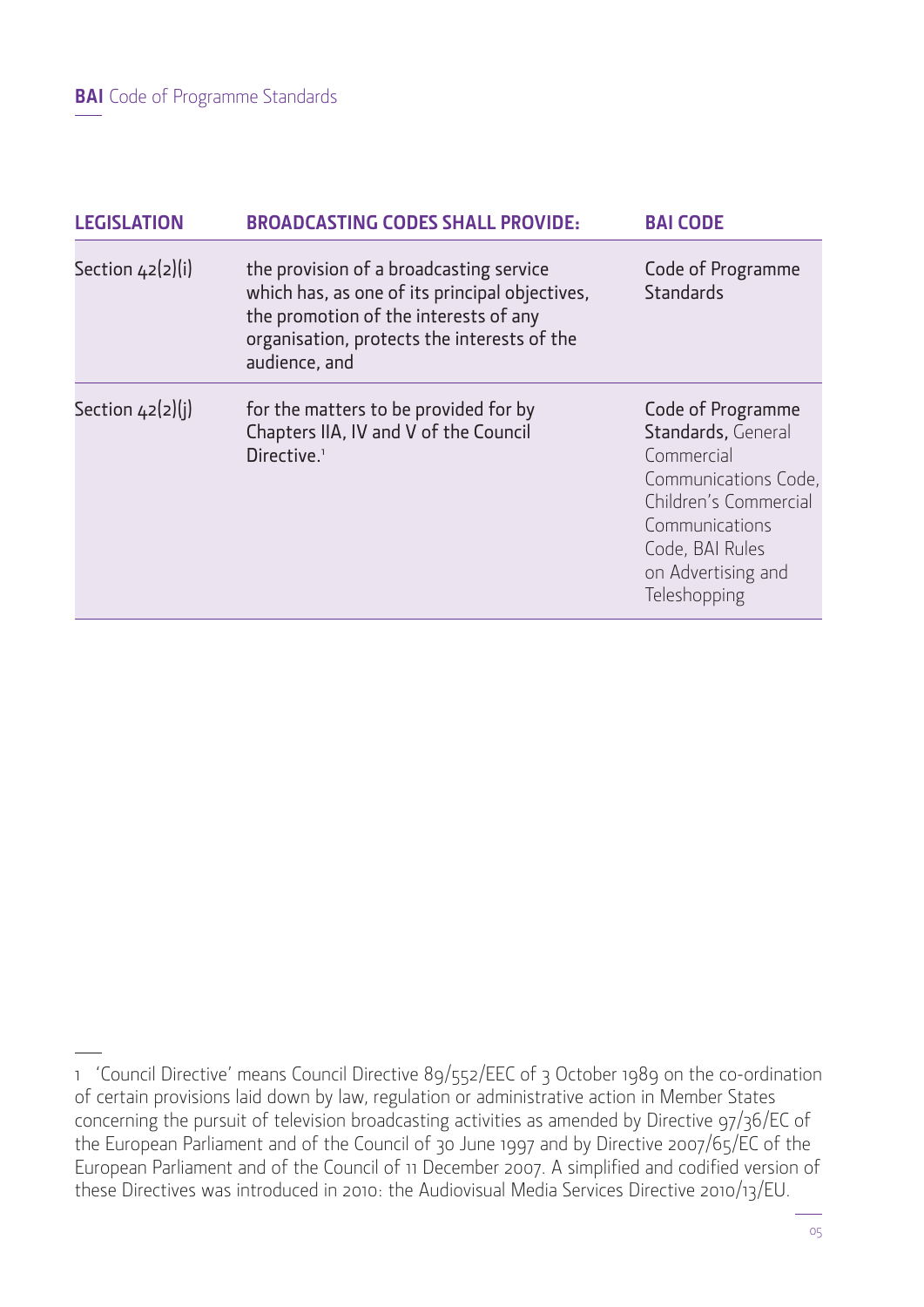**BAI** Code of Programme Standards

| <b>LEGISLATION</b> | <b>BROADCASTING CODES SHALL PROVIDE:</b>                                                                                                                                                           | <b>BAI CODE</b>                                                                                                                                                                   |
|--------------------|----------------------------------------------------------------------------------------------------------------------------------------------------------------------------------------------------|-----------------------------------------------------------------------------------------------------------------------------------------------------------------------------------|
| Section $42(2)(i)$ | the provision of a broadcasting service<br>which has, as one of its principal objectives,<br>the promotion of the interests of any<br>organisation, protects the interests of the<br>audience, and | Code of Programme<br><b>Standards</b>                                                                                                                                             |
| Section $42(2)(i)$ | for the matters to be provided for by<br>Chapters IIA, IV and V of the Council<br>Directive. <sup>1</sup>                                                                                          | Code of Programme<br>Standards, General<br>Commercial<br>Communications Code,<br>Children's Commercial<br>Communications<br>Code, BAI Rules<br>on Advertising and<br>Teleshopping |

<sup>1 &#</sup>x27;Council Directive' means Council Directive 89/552/EEC of 3 October 1989 on the co-ordination of certain provisions laid down by law, regulation or administrative action in Member States concerning the pursuit of television broadcasting activities as amended by Directive 97/36/EC of the European Parliament and of the Council of 30 June 1997 and by Directive 2007/65/EC of the European Parliament and of the Council of 11 December 2007. A simplified and codified version of these Directives was introduced in 2010: the Audiovisual Media Services Directive 2010/13/EU.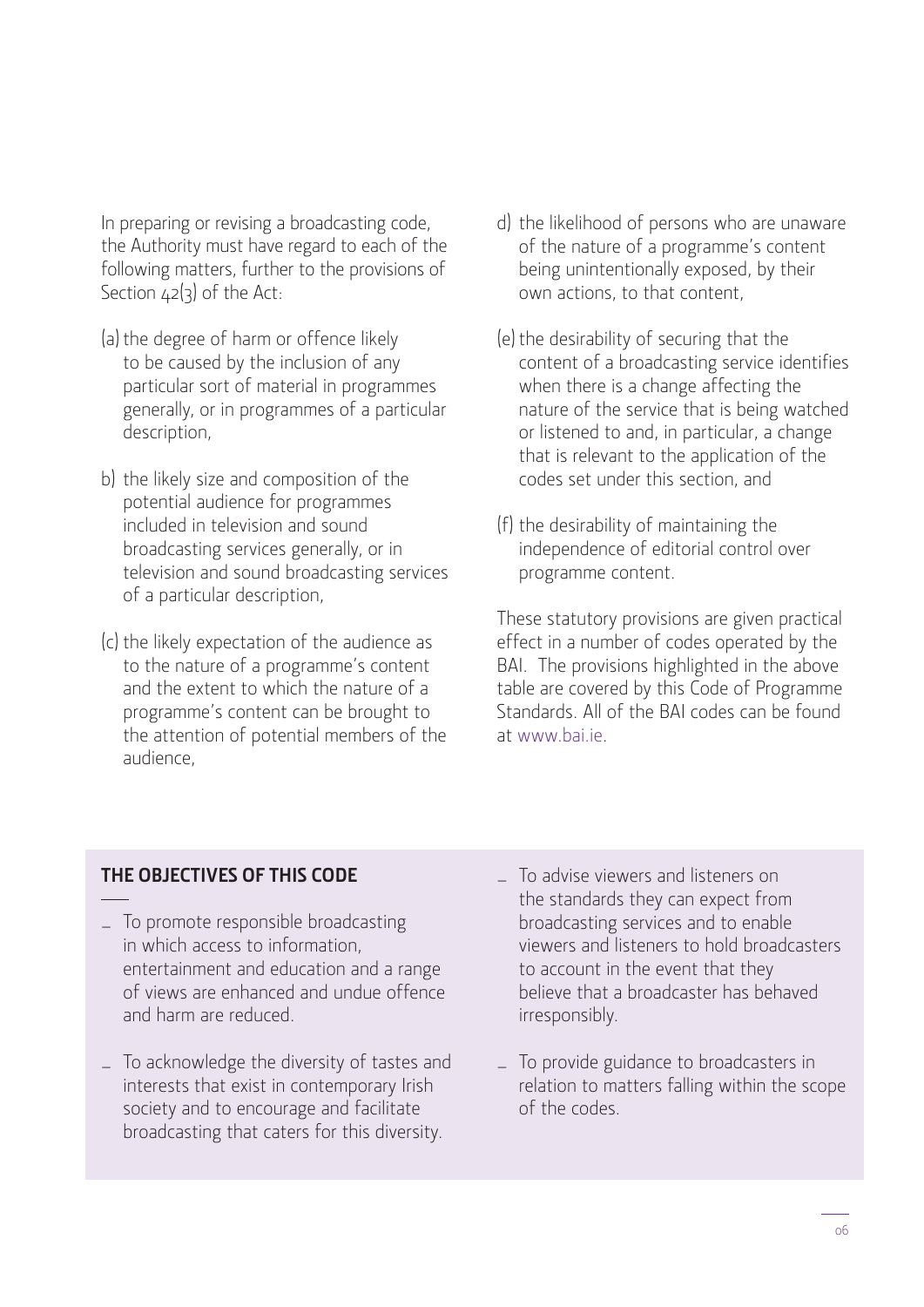In preparing or revising a broadcasting code, the Authority must have regard to each of the following matters, further to the provisions of Section  $42(3)$  of the Act:

- (a) the degree of harm or offence likely to be caused by the inclusion of any particular sort of material in programmes generally, or in programmes of a particular description,
- b) the likely size and composition of the potential audience for programmes included in television and sound broadcasting services generally, or in television and sound broadcasting services of a particular description,
- (c) the likely expectation of the audience as to the nature of a programme's content and the extent to which the nature of a programme's content can be brought to the attention of potential members of the audience,
- d) the likelihood of persons who are unaware of the nature of a programme's content being unintentionally exposed, by their own actions, to that content,
- (e) the desirability of securing that the content of a broadcasting service identifies when there is a change affecting the nature of the service that is being watched or listened to and, in particular, a change that is relevant to the application of the codes set under this section, and
- (f) the desirability of maintaining the independence of editorial control over programme content.

These statutory provisions are given practical effect in a number of codes operated by the BAI. The provisions highlighted in the above table are covered by this Code of Programme Standards. All of the BAI codes can be found at www.bai.ie.

## **THE OBJECTIVES OF THIS CODE**

- To promote responsible broadcasting in which access to information, entertainment and education and a range of views are enhanced and undue offence and harm are reduced.
- To acknowledge the diversity of tastes and interests that exist in contemporary Irish society and to encourage and facilitate broadcasting that caters for this diversity.
- To advise viewers and listeners on the standards they can expect from broadcasting services and to enable viewers and listeners to hold broadcasters to account in the event that they believe that a broadcaster has behaved irresponsibly.
- To provide guidance to broadcasters in relation to matters falling within the scope of the codes.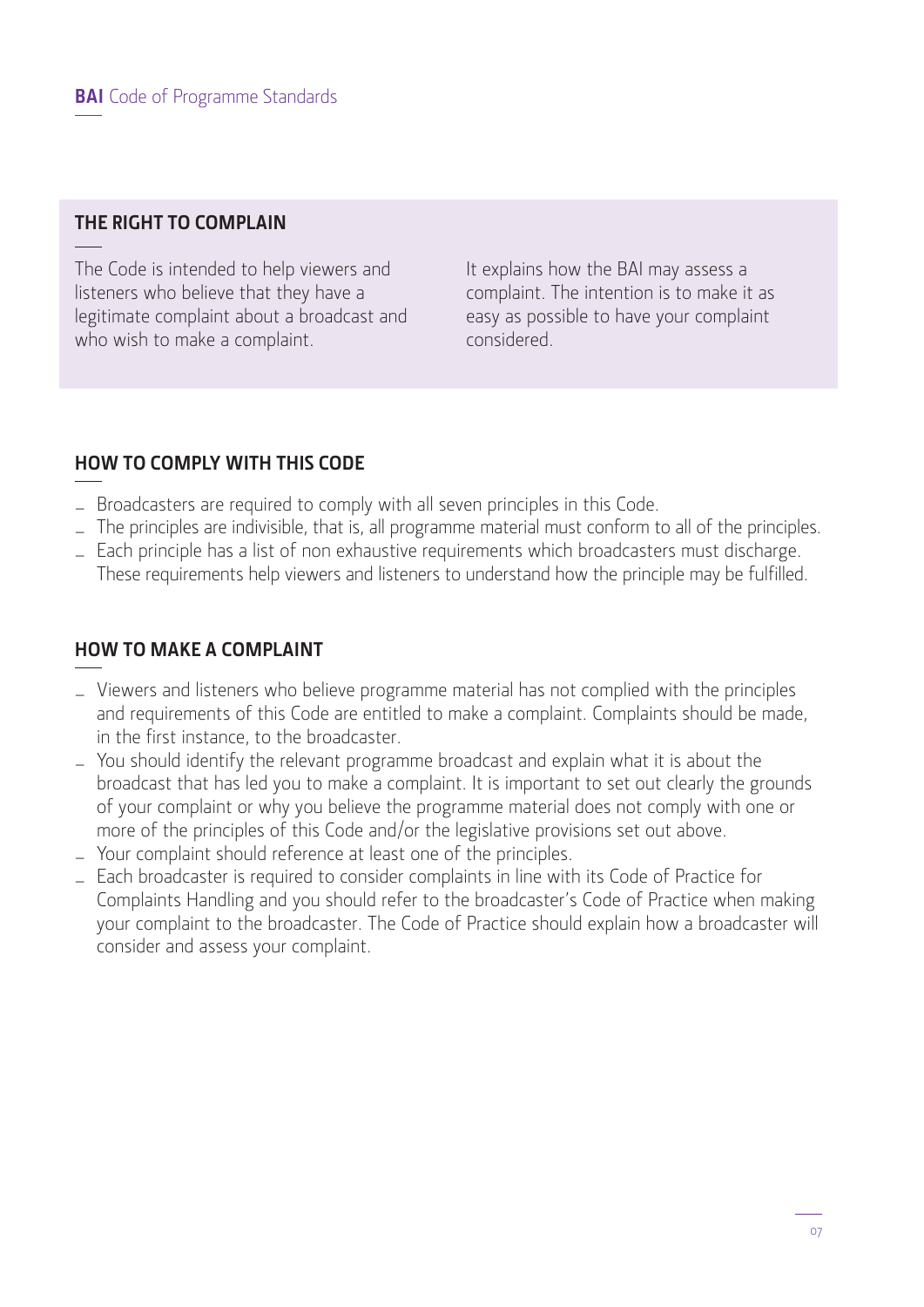## **THE RIGHT TO COMPLAIN**

The Code is intended to help viewers and listeners who believe that they have a legitimate complaint about a broadcast and who wish to make a complaint.

It explains how the BAI may assess a complaint. The intention is to make it as easy as possible to have your complaint considered.

## **HOW TO COMPLY WITH THIS CODE**

- Broadcasters are required to comply with all seven principles in this Code.
- The principles are indivisible, that is, all programme material must conform to all of the principles.
- Each principle has a list of non exhaustive requirements which broadcasters must discharge. These requirements help viewers and listeners to understand how the principle may be fulfilled.

## **HOW TO MAKE A COMPLAINT**

- Viewers and listeners who believe programme material has not complied with the principles and requirements of this Code are entitled to make a complaint. Complaints should be made, in the first instance, to the broadcaster.
- You should identify the relevant programme broadcast and explain what it is about the broadcast that has led you to make a complaint. It is important to set out clearly the grounds of your complaint or why you believe the programme material does not comply with one or more of the principles of this Code and/or the legislative provisions set out above.
- Your complaint should reference at least one of the principles.
- Each broadcaster is required to consider complaints in line with its Code of Practice for Complaints Handling and you should refer to the broadcaster's Code of Practice when making your complaint to the broadcaster. The Code of Practice should explain how a broadcaster will consider and assess your complaint.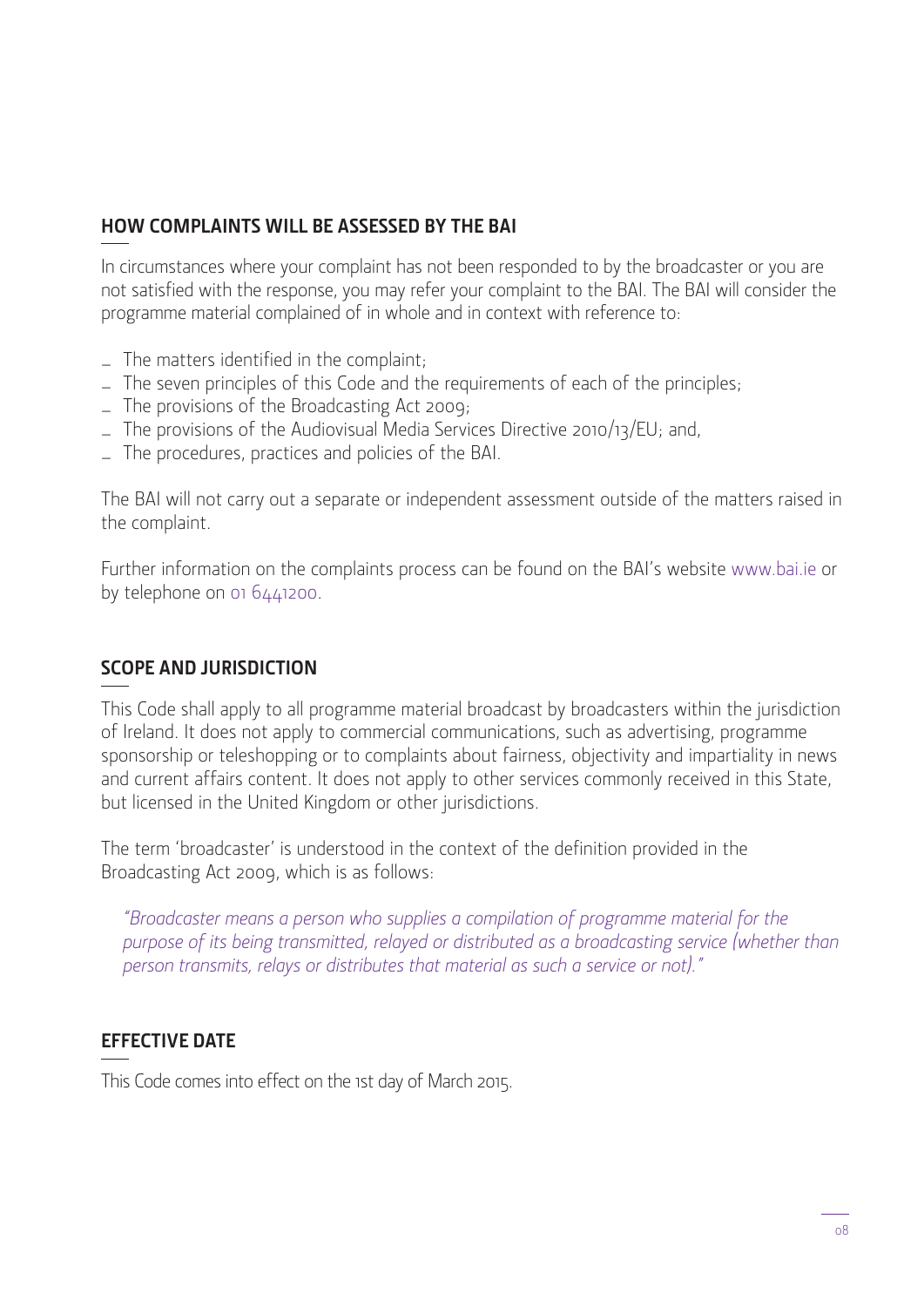## **HOW COMPLAINTS WILL BE ASSESSED BY THE BAI**

In circumstances where your complaint has not been responded to by the broadcaster or you are not satisfied with the response, you may refer your complaint to the BAI. The BAI will consider the programme material complained of in whole and in context with reference to:

- $-$  The matters identified in the complaint;
- The seven principles of this Code and the requirements of each of the principles;
- The provisions of the Broadcasting Act 2009;
- The provisions of the Audiovisual Media Services Directive 2010/13/EU; and,
- The procedures, practices and policies of the BAI.

The BAI will not carry out a separate or independent assessment outside of the matters raised in the complaint.

Further information on the complaints process can be found on the BAI's website www.bai.ie or by telephone on 01 6441200.

## **SCOPE AND JURISDICTION**

This Code shall apply to all programme material broadcast by broadcasters within the jurisdiction of Ireland. It does not apply to commercial communications, such as advertising, programme sponsorship or teleshopping or to complaints about fairness, objectivity and impartiality in news and current affairs content. It does not apply to other services commonly received in this State, but licensed in the United Kingdom or other jurisdictions.

The term 'broadcaster' is understood in the context of the definition provided in the Broadcasting Act 2009, which is as follows:

*"Broadcaster means a person who supplies a compilation of programme material for the purpose of its being transmitted, relayed or distributed as a broadcasting service (whether than person transmits, relays or distributes that material as such a service or not)."*

## **EFFECTIVE DATE**

This Code comes into effect on the 1st day of March 2015.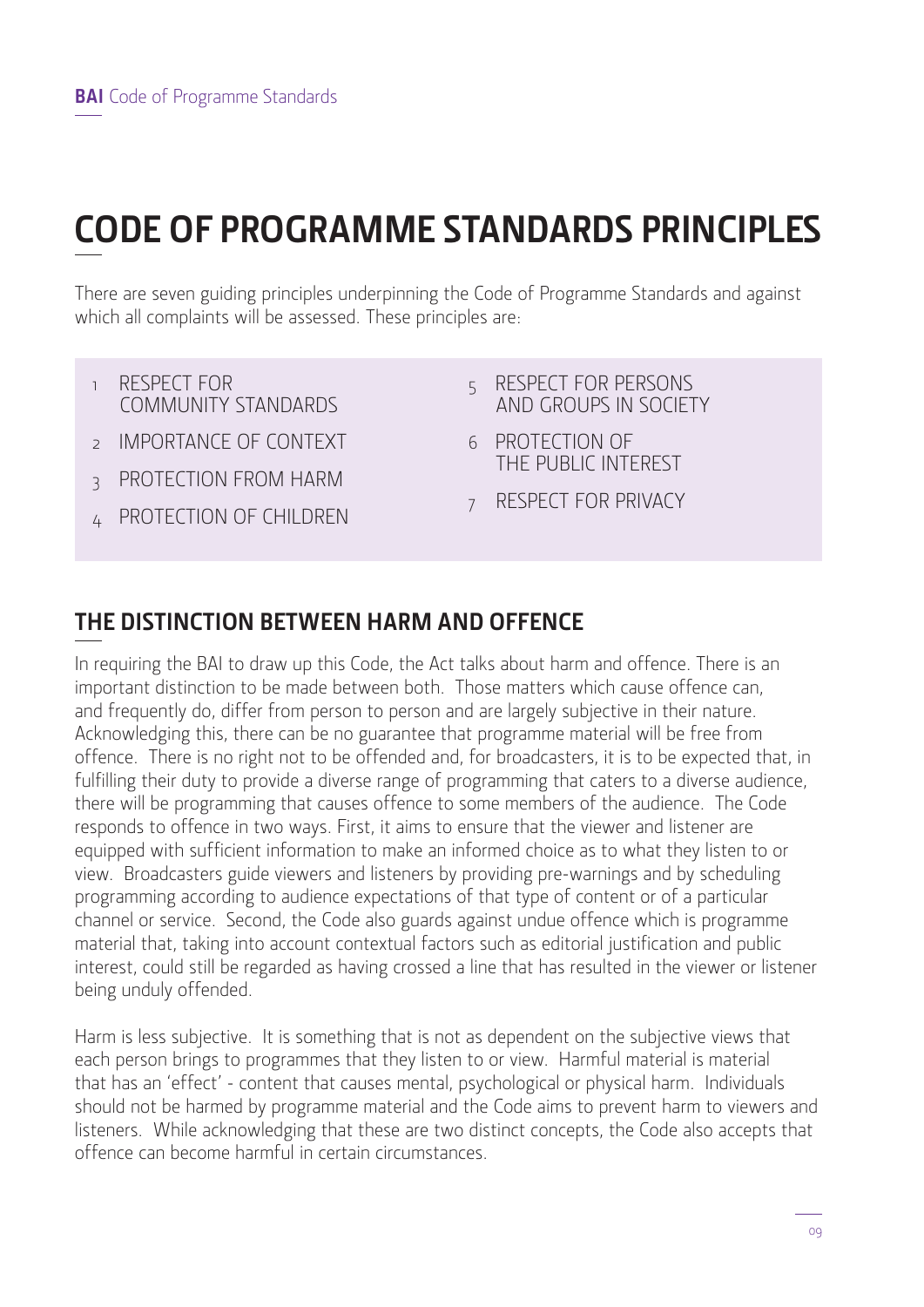## **CODE OF PROGRAMME STANDARDS PRINCIPLES**

There are seven guiding principles underpinning the Code of Programme Standards and against which all complaints will be assessed. These principles are:

- 1 RESPECT FOR COMMUNITY STANDARDS
- 2 IMPORTANCE OF CONTEXT
- **3 PROTECTION FROM HARM**
- 4 PROTECTION OF CHILDREN
- 5 RESPECT FOR PERSONS AND GROUPS IN SOCIETY
- 6 PROTECTION OF THE PUBLIC INTEREST
- 7 RESPECT FOR PRIVACY

## **THE DISTINCTION BETWEEN HARM AND OFFENCE**

In requiring the BAI to draw up this Code, the Act talks about harm and offence. There is an important distinction to be made between both. Those matters which cause offence can, and frequently do, differ from person to person and are largely subjective in their nature. Acknowledging this, there can be no guarantee that programme material will be free from offence. There is no right not to be offended and, for broadcasters, it is to be expected that, in fulfilling their duty to provide a diverse range of programming that caters to a diverse audience, there will be programming that causes offence to some members of the audience. The Code responds to offence in two ways. First, it aims to ensure that the viewer and listener are equipped with sufficient information to make an informed choice as to what they listen to or view. Broadcasters guide viewers and listeners by providing pre-warnings and by scheduling programming according to audience expectations of that type of content or of a particular channel or service. Second, the Code also guards against undue offence which is programme material that, taking into account contextual factors such as editorial justification and public interest, could still be regarded as having crossed a line that has resulted in the viewer or listener being unduly offended.

Harm is less subjective. It is something that is not as dependent on the subjective views that each person brings to programmes that they listen to or view. Harmful material is material that has an 'effect' - content that causes mental, psychological or physical harm. Individuals should not be harmed by programme material and the Code aims to prevent harm to viewers and listeners. While acknowledging that these are two distinct concepts, the Code also accepts that offence can become harmful in certain circumstances.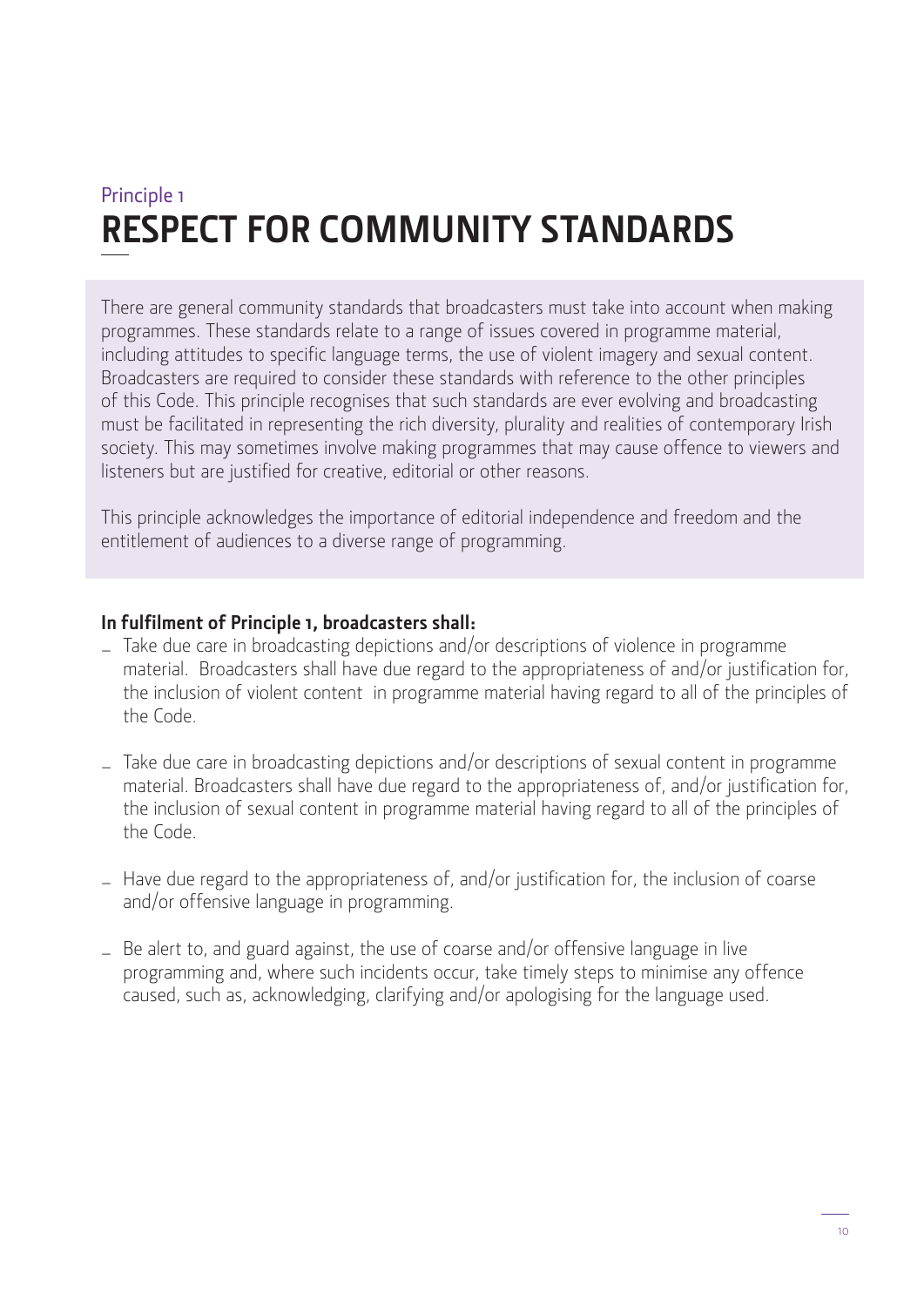## Principle 1 **RESPECT FOR COMMUNITY STANDARDS**

There are general community standards that broadcasters must take into account when making programmes. These standards relate to a range of issues covered in programme material, including attitudes to specific language terms, the use of violent imagery and sexual content. Broadcasters are required to consider these standards with reference to the other principles of this Code. This principle recognises that such standards are ever evolving and broadcasting must be facilitated in representing the rich diversity, plurality and realities of contemporary Irish society. This may sometimes involve making programmes that may cause offence to viewers and listeners but are justified for creative, editorial or other reasons.

This principle acknowledges the importance of editorial independence and freedom and the entitlement of audiences to a diverse range of programming.

### **In fulfilment of Principle 1, broadcasters shall:**

- Take due care in broadcasting depictions and/or descriptions of violence in programme material. Broadcasters shall have due regard to the appropriateness of and/or justification for, the inclusion of violent content in programme material having regard to all of the principles of the Code.
- Take due care in broadcasting depictions and/or descriptions of sexual content in programme material. Broadcasters shall have due regard to the appropriateness of, and/or justification for, the inclusion of sexual content in programme material having regard to all of the principles of the Code.
- Have due regard to the appropriateness of, and/or justification for, the inclusion of coarse and/or offensive language in programming.
- Be alert to, and guard against, the use of coarse and/or offensive language in live programming and, where such incidents occur, take timely steps to minimise any offence caused, such as, acknowledging, clarifying and/or apologising for the language used.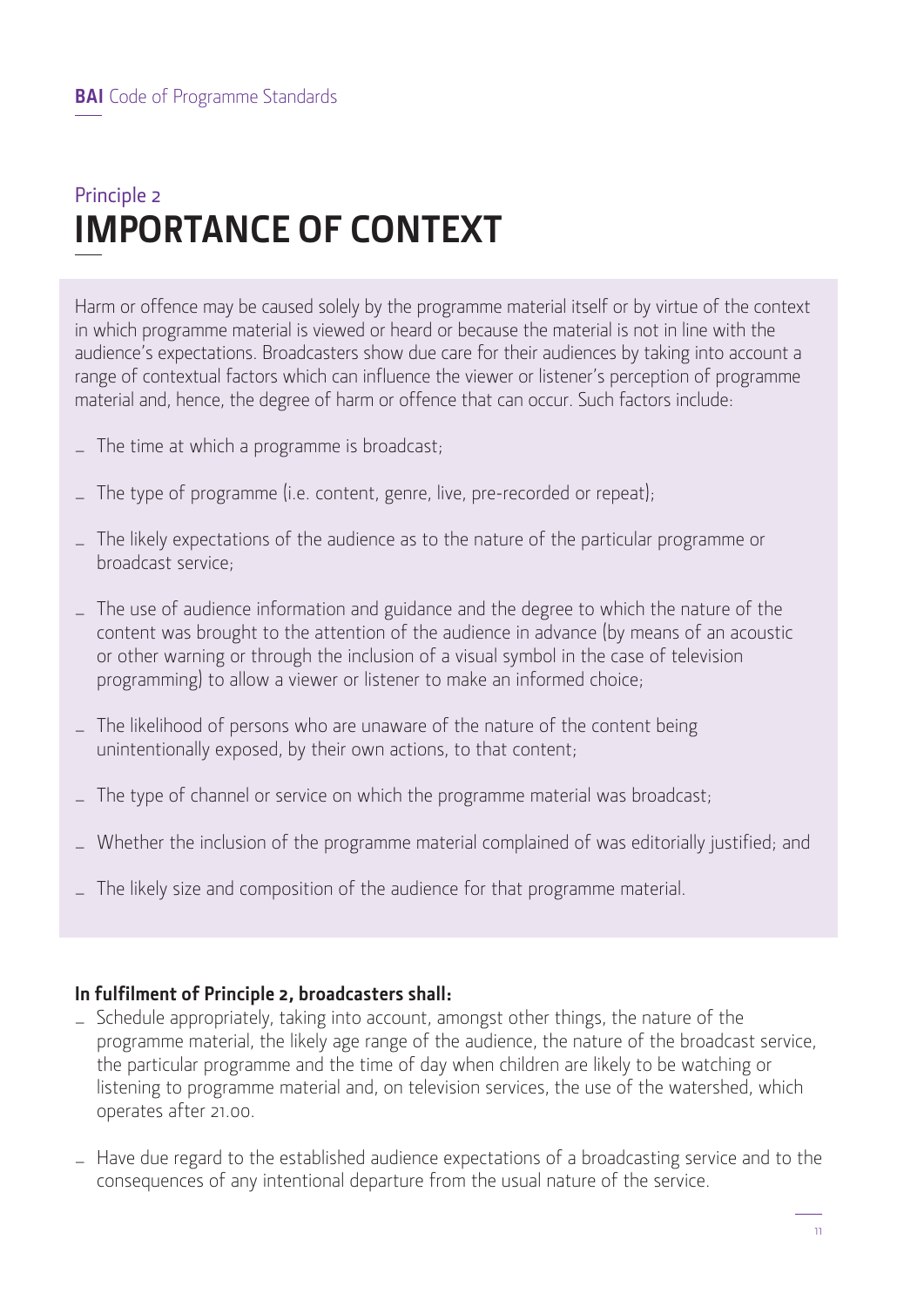## Principle 2 **IMPORTANCE OF CONTEXT**

Harm or offence may be caused solely by the programme material itself or by virtue of the context in which programme material is viewed or heard or because the material is not in line with the audience's expectations. Broadcasters show due care for their audiences by taking into account a range of contextual factors which can influence the viewer or listener's perception of programme material and, hence, the degree of harm or offence that can occur. Such factors include:

- $\overline{\phantom{a}}$  The time at which a programme is broadcast;
- $\overline{a}$  The type of programme (i.e. content, genre, live, pre-recorded or repeat);
- The likely expectations of the audience as to the nature of the particular programme or broadcast service;
- The use of audience information and guidance and the degree to which the nature of the content was brought to the attention of the audience in advance (by means of an acoustic or other warning or through the inclusion of a visual symbol in the case of television programming) to allow a viewer or listener to make an informed choice;
- The likelihood of persons who are unaware of the nature of the content being unintentionally exposed, by their own actions, to that content;
- The type of channel or service on which the programme material was broadcast;
- Whether the inclusion of the programme material complained of was editorially justified; and
- The likely size and composition of the audience for that programme material.

### **In fulfilment of Principle 2, broadcasters shall:**

- Schedule appropriately, taking into account, amongst other things, the nature of the programme material, the likely age range of the audience, the nature of the broadcast service, the particular programme and the time of day when children are likely to be watching or listening to programme material and, on television services, the use of the watershed, which operates after 21.00.
- Have due regard to the established audience expectations of a broadcasting service and to the consequences of any intentional departure from the usual nature of the service.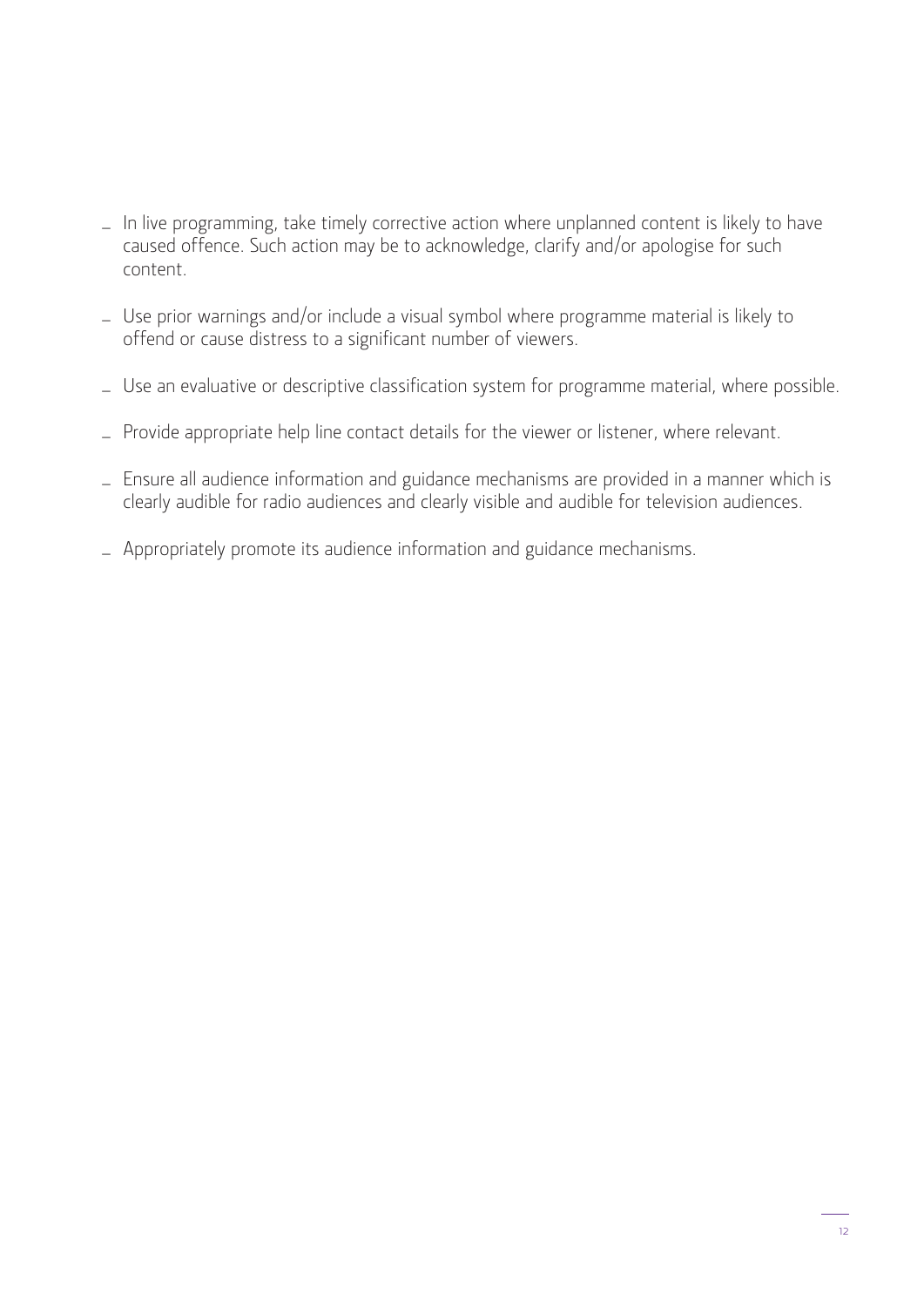- In live programming, take timely corrective action where unplanned content is likely to have caused offence. Such action may be to acknowledge, clarify and/or apologise for such content.
- Use prior warnings and/or include a visual symbol where programme material is likely to offend or cause distress to a significant number of viewers.
- Use an evaluative or descriptive classification system for programme material, where possible.
- Provide appropriate help line contact details for the viewer or listener, where relevant.
- Ensure all audience information and guidance mechanisms are provided in a manner which is clearly audible for radio audiences and clearly visible and audible for television audiences.
- Appropriately promote its audience information and guidance mechanisms.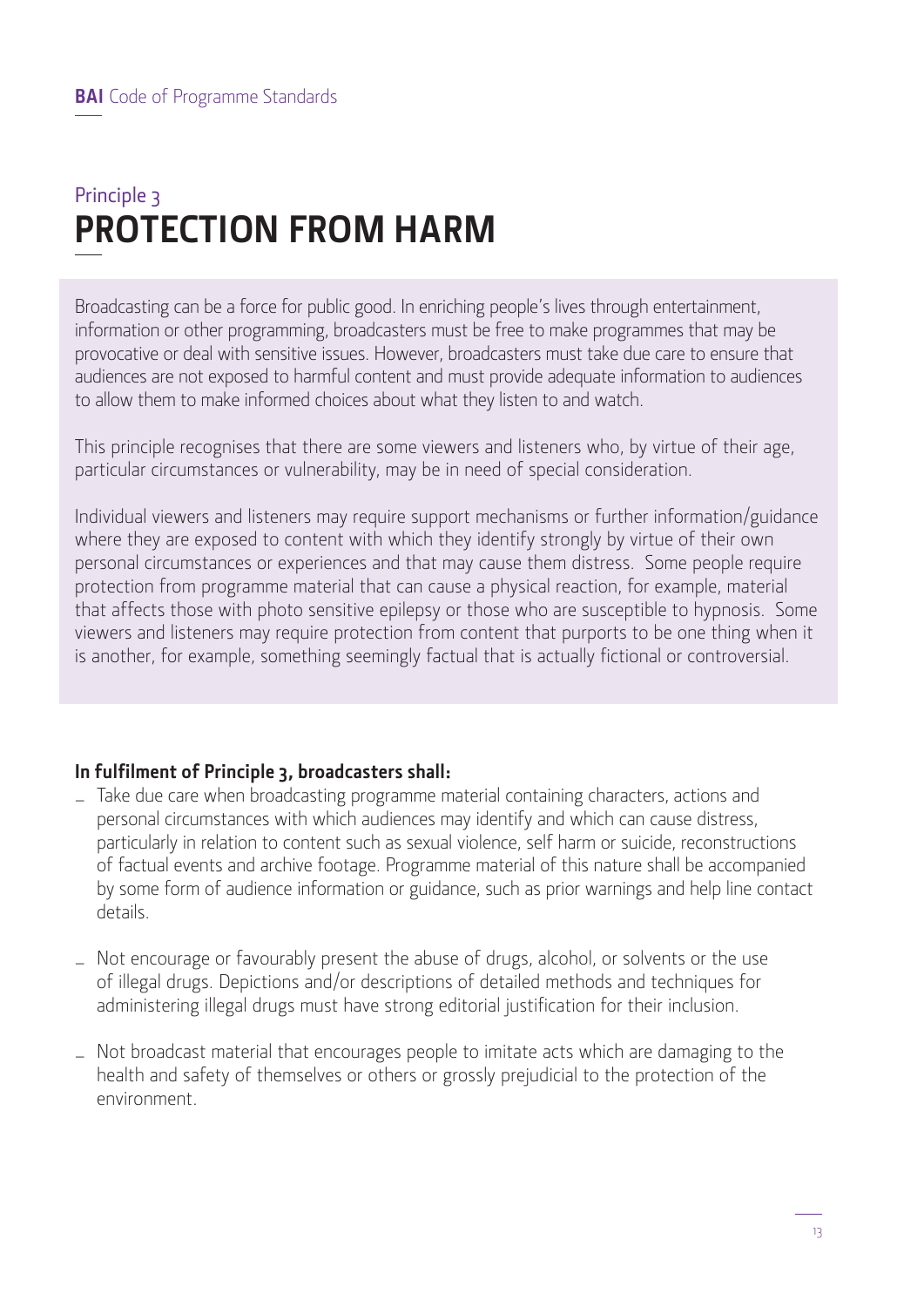## Principle 3 **PROTECTION FROM HARM**

Broadcasting can be a force for public good. In enriching people's lives through entertainment, information or other programming, broadcasters must be free to make programmes that may be provocative or deal with sensitive issues. However, broadcasters must take due care to ensure that audiences are not exposed to harmful content and must provide adequate information to audiences to allow them to make informed choices about what they listen to and watch.

This principle recognises that there are some viewers and listeners who, by virtue of their age, particular circumstances or vulnerability, may be in need of special consideration.

Individual viewers and listeners may require support mechanisms or further information/guidance where they are exposed to content with which they identify strongly by virtue of their own personal circumstances or experiences and that may cause them distress. Some people require protection from programme material that can cause a physical reaction, for example, material that affects those with photo sensitive epilepsy or those who are susceptible to hypnosis. Some viewers and listeners may require protection from content that purports to be one thing when it is another, for example, something seemingly factual that is actually fictional or controversial.

## **In fulfilment of Principle 3, broadcasters shall:**

- Take due care when broadcasting programme material containing characters, actions and personal circumstances with which audiences may identify and which can cause distress, particularly in relation to content such as sexual violence, self harm or suicide, reconstructions of factual events and archive footage. Programme material of this nature shall be accompanied by some form of audience information or guidance, such as prior warnings and help line contact details.
- Not encourage or favourably present the abuse of drugs, alcohol, or solvents or the use of illegal drugs. Depictions and/or descriptions of detailed methods and techniques for administering illegal drugs must have strong editorial justification for their inclusion.
- Not broadcast material that encourages people to imitate acts which are damaging to the health and safety of themselves or others or grossly prejudicial to the protection of the environment.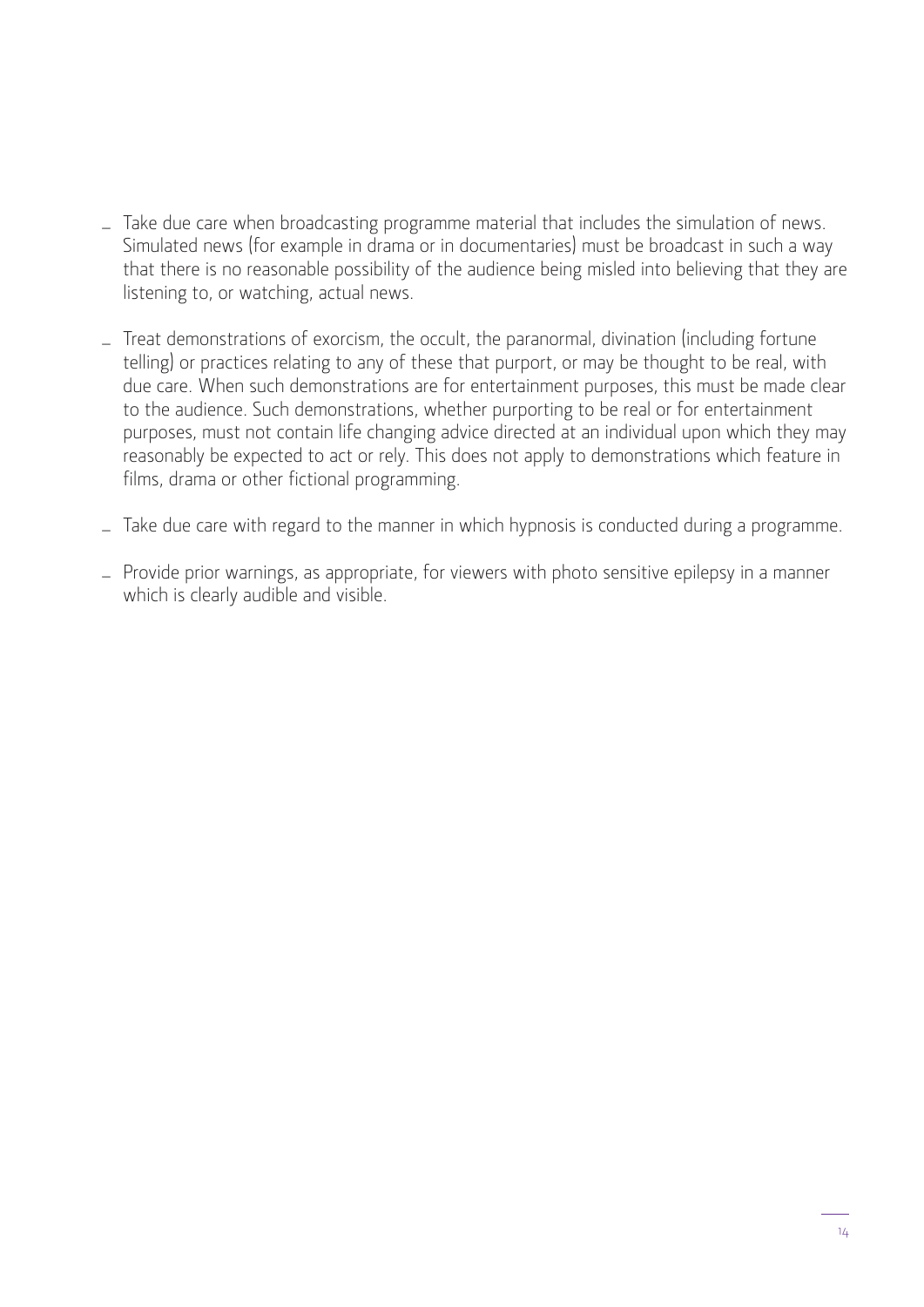- Take due care when broadcasting programme material that includes the simulation of news. Simulated news (for example in drama or in documentaries) must be broadcast in such a way that there is no reasonable possibility of the audience being misled into believing that they are listening to, or watching, actual news.
- Treat demonstrations of exorcism, the occult, the paranormal, divination (including fortune telling) or practices relating to any of these that purport, or may be thought to be real, with due care. When such demonstrations are for entertainment purposes, this must be made clear to the audience. Such demonstrations, whether purporting to be real or for entertainment purposes, must not contain life changing advice directed at an individual upon which they may reasonably be expected to act or rely. This does not apply to demonstrations which feature in films, drama or other fictional programming.
- Take due care with regard to the manner in which hypnosis is conducted during a programme.
- Provide prior warnings, as appropriate, for viewers with photo sensitive epilepsy in a manner which is clearly audible and visible.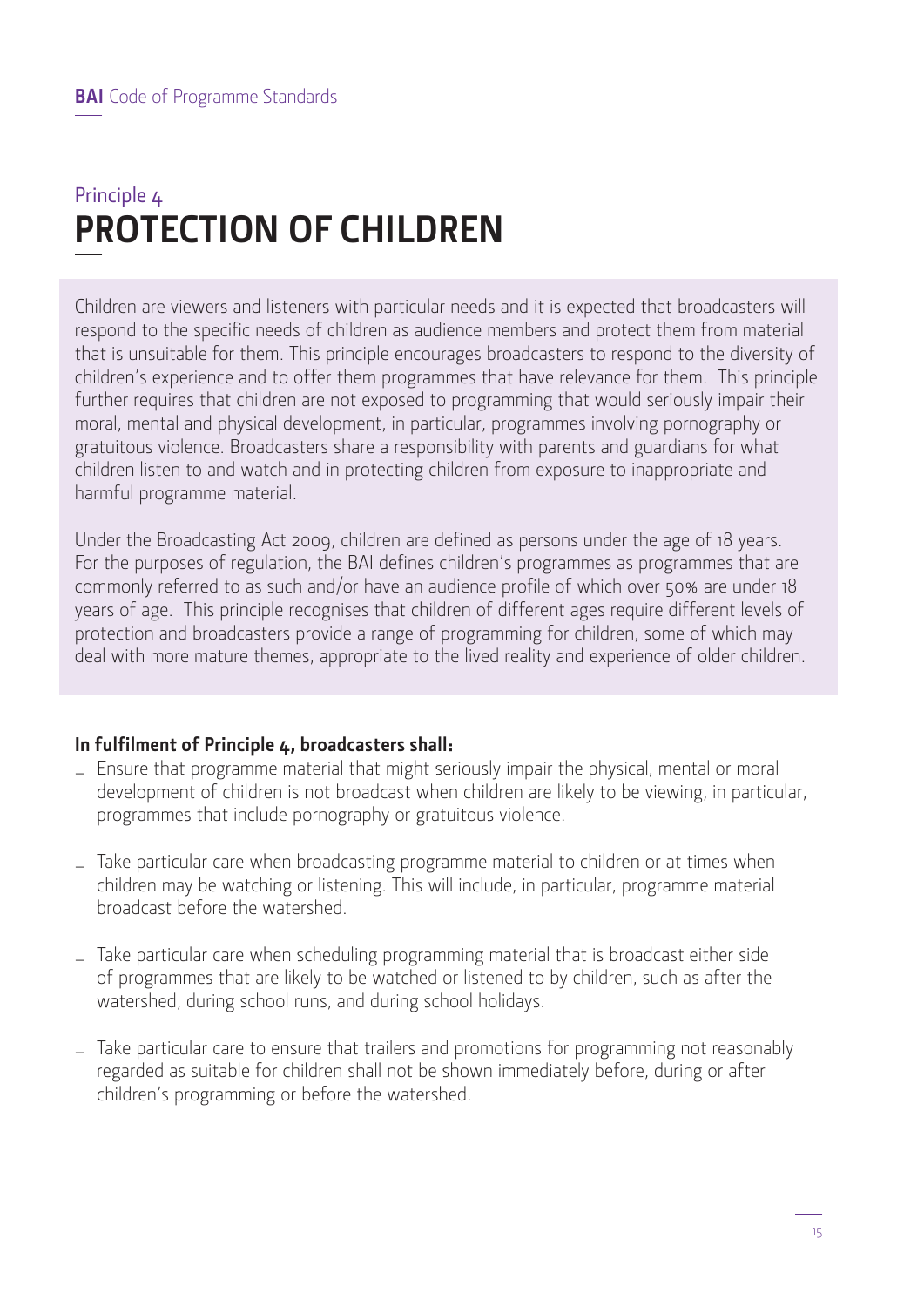## Principle 4 **PROTECTION OF CHILDREN**

Children are viewers and listeners with particular needs and it is expected that broadcasters will respond to the specific needs of children as audience members and protect them from material that is unsuitable for them. This principle encourages broadcasters to respond to the diversity of children's experience and to offer them programmes that have relevance for them. This principle further requires that children are not exposed to programming that would seriously impair their moral, mental and physical development, in particular, programmes involving pornography or gratuitous violence. Broadcasters share a responsibility with parents and guardians for what children listen to and watch and in protecting children from exposure to inappropriate and harmful programme material.

Under the Broadcasting Act 2009, children are defined as persons under the age of 18 years. For the purposes of regulation, the BAI defines children's programmes as programmes that are commonly referred to as such and/or have an audience profile of which over 50% are under 18 years of age. This principle recognises that children of different ages require different levels of protection and broadcasters provide a range of programming for children, some of which may deal with more mature themes, appropriate to the lived reality and experience of older children.

### **In fulfilment of Principle 4, broadcasters shall:**

- Ensure that programme material that might seriously impair the physical, mental or moral development of children is not broadcast when children are likely to be viewing, in particular, programmes that include pornography or gratuitous violence.
- Take particular care when broadcasting programme material to children or at times when children may be watching or listening. This will include, in particular, programme material broadcast before the watershed.
- Take particular care when scheduling programming material that is broadcast either side of programmes that are likely to be watched or listened to by children, such as after the watershed, during school runs, and during school holidays.
- Take particular care to ensure that trailers and promotions for programming not reasonably regarded as suitable for children shall not be shown immediately before, during or after children's programming or before the watershed.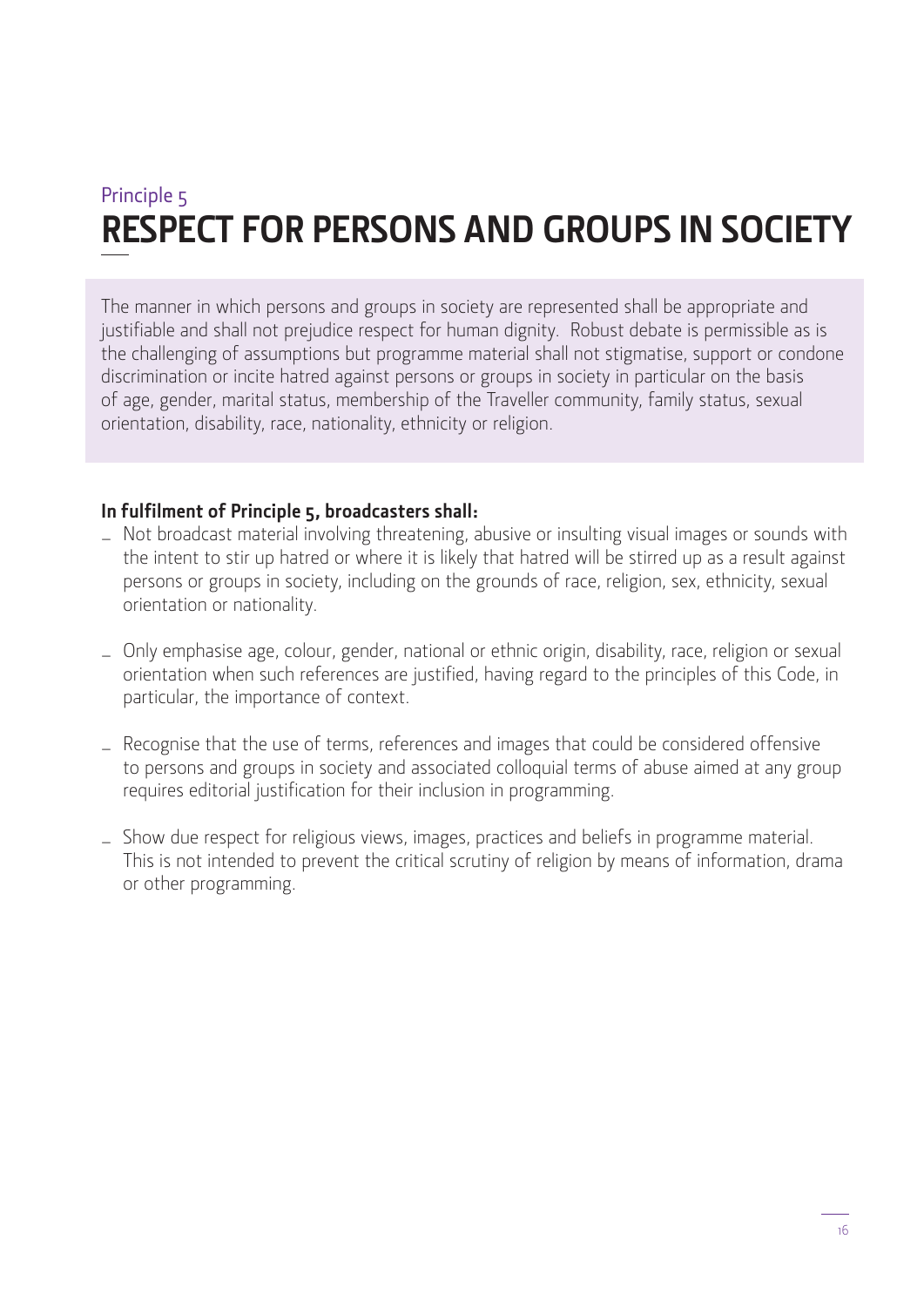## Principle 5 **RESPECT FOR PERSONS AND GROUPS IN SOCIETY**

The manner in which persons and groups in society are represented shall be appropriate and justifiable and shall not prejudice respect for human dignity. Robust debate is permissible as is the challenging of assumptions but programme material shall not stigmatise, support or condone discrimination or incite hatred against persons or groups in society in particular on the basis of age, gender, marital status, membership of the Traveller community, family status, sexual orientation, disability, race, nationality, ethnicity or religion.

### **In fulfilment of Principle 5, broadcasters shall:**

- Not broadcast material involving threatening, abusive or insulting visual images or sounds with the intent to stir up hatred or where it is likely that hatred will be stirred up as a result against persons or groups in society, including on the grounds of race, religion, sex, ethnicity, sexual orientation or nationality.
- Only emphasise age, colour, gender, national or ethnic origin, disability, race, religion or sexual orientation when such references are justified, having regard to the principles of this Code, in particular, the importance of context.
- Recognise that the use of terms, references and images that could be considered offensive to persons and groups in society and associated colloquial terms of abuse aimed at any group requires editorial justification for their inclusion in programming.
- Show due respect for religious views, images, practices and beliefs in programme material. This is not intended to prevent the critical scrutiny of religion by means of information, drama or other programming.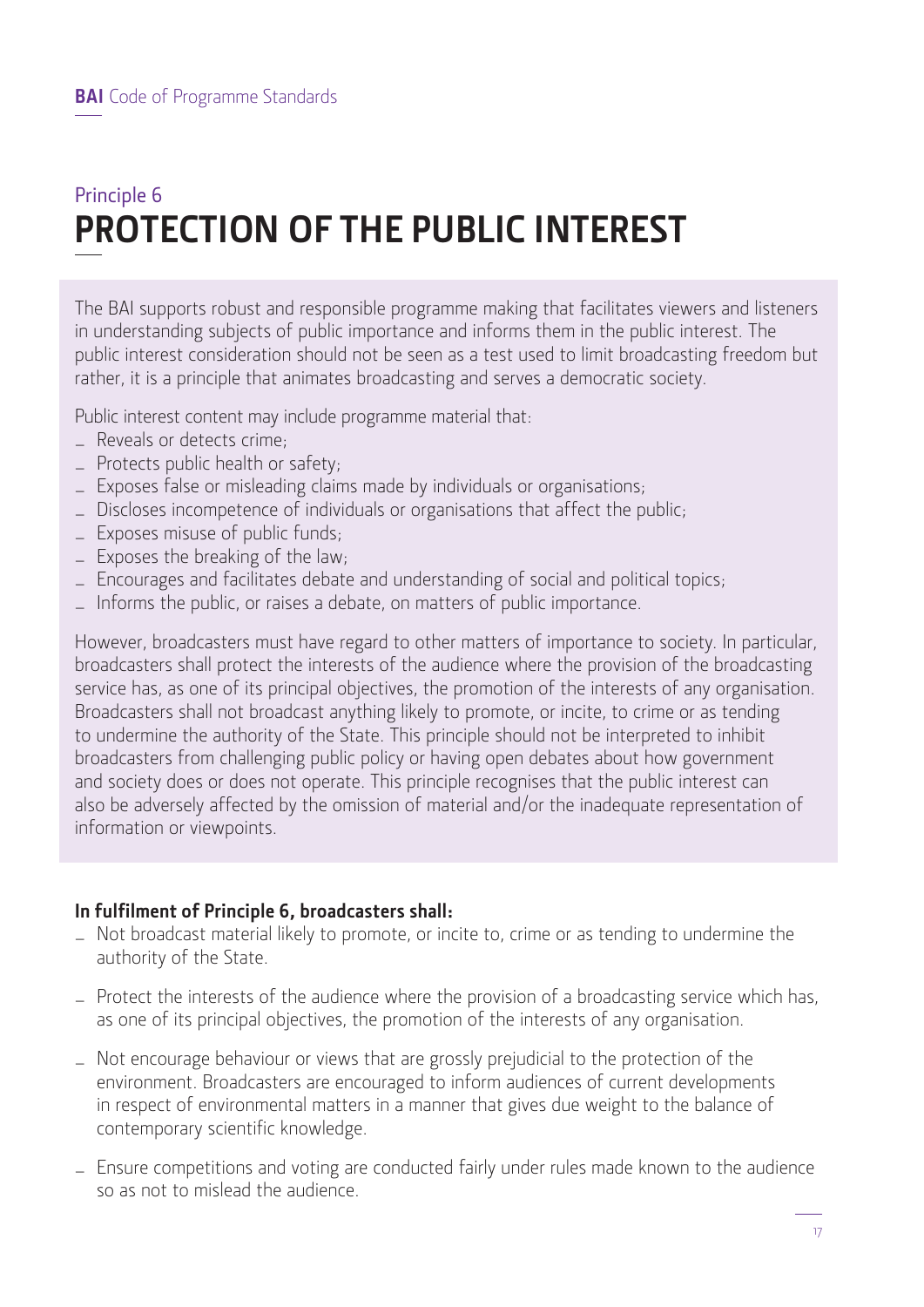## Principle 6 **PROTECTION OF THE PUBLIC INTEREST**

The BAI supports robust and responsible programme making that facilitates viewers and listeners in understanding subjects of public importance and informs them in the public interest. The public interest consideration should not be seen as a test used to limit broadcasting freedom but rather, it is a principle that animates broadcasting and serves a democratic society.

Public interest content may include programme material that:

- Reveals or detects crime;
- Protects public health or safety;
- Exposes false or misleading claims made by individuals or organisations;
- Discloses incompetence of individuals or organisations that affect the public;
- Exposes misuse of public funds;
- Exposes the breaking of the law;
- Encourages and facilitates debate and understanding of social and political topics;
- Informs the public, or raises a debate, on matters of public importance.

However, broadcasters must have regard to other matters of importance to society. In particular, broadcasters shall protect the interests of the audience where the provision of the broadcasting service has, as one of its principal objectives, the promotion of the interests of any organisation. Broadcasters shall not broadcast anything likely to promote, or incite, to crime or as tending to undermine the authority of the State. This principle should not be interpreted to inhibit broadcasters from challenging public policy or having open debates about how government and society does or does not operate. This principle recognises that the public interest can also be adversely affected by the omission of material and/or the inadequate representation of information or viewpoints.

### **In fulfilment of Principle 6, broadcasters shall:**

- Not broadcast material likely to promote, or incite to, crime or as tending to undermine the authority of the State.
- Protect the interests of the audience where the provision of a broadcasting service which has, as one of its principal objectives, the promotion of the interests of any organisation.
- Not encourage behaviour or views that are grossly prejudicial to the protection of the environment. Broadcasters are encouraged to inform audiences of current developments in respect of environmental matters in a manner that gives due weight to the balance of contemporary scientific knowledge.
- Ensure competitions and voting are conducted fairly under rules made known to the audience so as not to mislead the audience.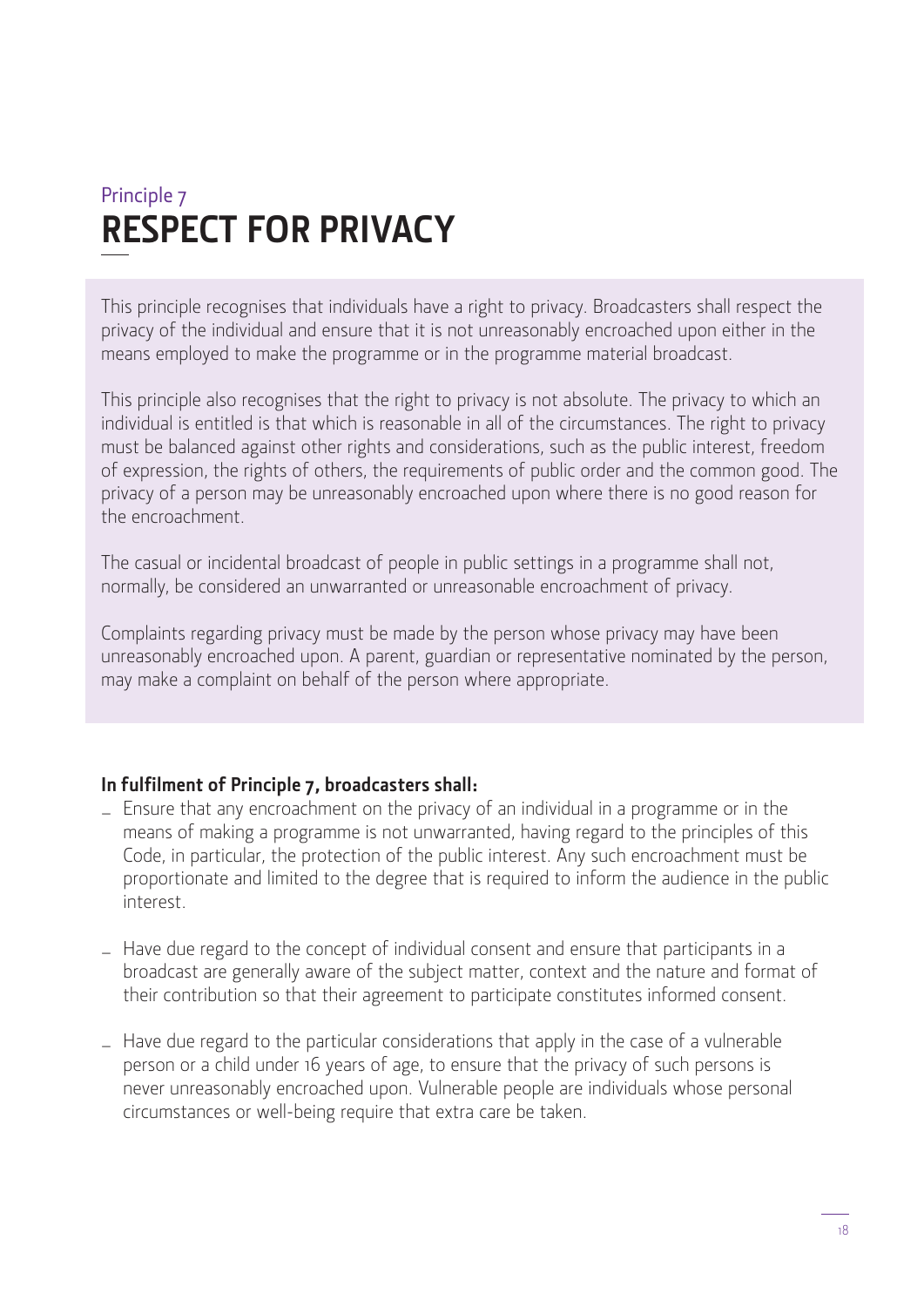## Principle 7 **RESPECT FOR PRIVACY**

This principle recognises that individuals have a right to privacy. Broadcasters shall respect the privacy of the individual and ensure that it is not unreasonably encroached upon either in the means employed to make the programme or in the programme material broadcast.

This principle also recognises that the right to privacy is not absolute. The privacy to which an individual is entitled is that which is reasonable in all of the circumstances. The right to privacy must be balanced against other rights and considerations, such as the public interest, freedom of expression, the rights of others, the requirements of public order and the common good. The privacy of a person may be unreasonably encroached upon where there is no good reason for the encroachment.

The casual or incidental broadcast of people in public settings in a programme shall not, normally, be considered an unwarranted or unreasonable encroachment of privacy.

Complaints regarding privacy must be made by the person whose privacy may have been unreasonably encroached upon. A parent, guardian or representative nominated by the person, may make a complaint on behalf of the person where appropriate.

### **In fulfilment of Principle 7, broadcasters shall:**

- Ensure that any encroachment on the privacy of an individual in a programme or in the means of making a programme is not unwarranted, having regard to the principles of this Code, in particular, the protection of the public interest. Any such encroachment must be proportionate and limited to the degree that is required to inform the audience in the public interest.
- Have due regard to the concept of individual consent and ensure that participants in a broadcast are generally aware of the subject matter, context and the nature and format of their contribution so that their agreement to participate constitutes informed consent.
- Have due regard to the particular considerations that apply in the case of a vulnerable person or a child under 16 years of age, to ensure that the privacy of such persons is never unreasonably encroached upon. Vulnerable people are individuals whose personal circumstances or well-being require that extra care be taken.